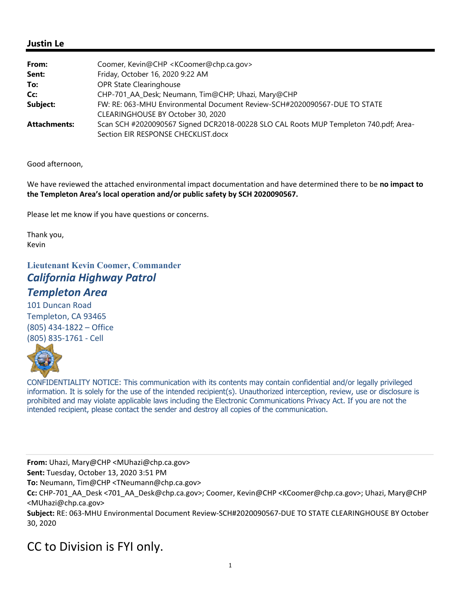## **Justin Le**

| From:               | Coomer, Kevin@CHP <kcoomer@chp.ca.gov></kcoomer@chp.ca.gov>                          |
|---------------------|--------------------------------------------------------------------------------------|
| Sent:               | Friday, October 16, 2020 9:22 AM                                                     |
| To:                 | OPR State Clearinghouse                                                              |
| Cc:                 | CHP-701_AA_Desk; Neumann, Tim@CHP; Uhazi, Mary@CHP                                   |
| Subject:            | FW: RE: 063-MHU Environmental Document Review-SCH#2020090567-DUE TO STATE            |
|                     | CLEARINGHOUSE BY October 30, 2020                                                    |
| <b>Attachments:</b> | Scan SCH #2020090567 Signed DCR2018-00228 SLO CAL Roots MUP Templeton 740.pdf; Area- |
|                     | Section EIR RESPONSE CHECKLIST.docx                                                  |

Good afternoon,

We have reviewed the attached environmental impact documentation and have determined there to be **no impact to the Templeton Area's local operation and/or public safety by SCH 2020090567.**

Please let me know if you have questions or concerns.

Thank you, Kevin

## **Lieutenant Kevin Coomer, Commander** *California Highway Patrol Templeton Area*

101 Duncan Road Templeton, CA 93465 (805) 434‐1822 – Office (805) 835‐1761 ‐ Cell



CONFIDENTIALITY NOTICE: This communication with its contents may contain confidential and/or legally privileged information. It is solely for the use of the intended recipient(s). Unauthorized interception, review, use or disclosure is prohibited and may violate applicable laws including the Electronic Communications Privacy Act. If you are not the intended recipient, please contact the sender and destroy all copies of the communication.

**From:** Uhazi, Mary@CHP <MUhazi@chp.ca.gov>

**Sent:** Tuesday, October 13, 2020 3:51 PM

**To:** Neumann, Tim@CHP <TNeumann@chp.ca.gov>

**Cc:** CHP‐701\_AA\_Desk <701\_AA\_Desk@chp.ca.gov>; Coomer, Kevin@CHP <KCoomer@chp.ca.gov>; Uhazi, Mary@CHP <MUhazi@chp.ca.gov>

**Subject:** RE: 063‐MHU Environmental Document Review‐SCH#2020090567‐DUE TO STATE CLEARINGHOUSE BY October 30, 2020

## CC to Division is FYI only.